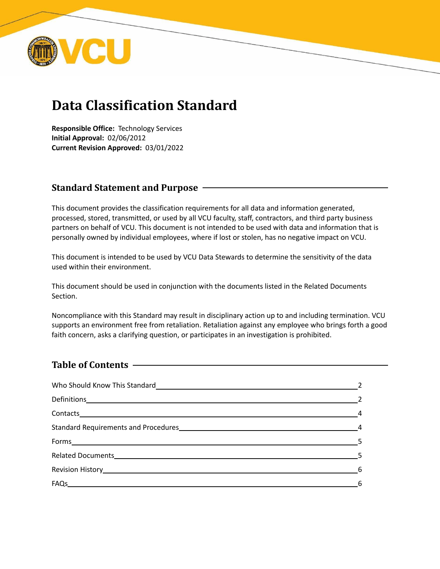

# **Data Classification Standard**

**Responsible Office:** Technology Services **Initial Approval:** 02/06/2012 **Current Revision Approved:** 03/01/2022

# **Standard Statement and Purpose**

This document provides the classification requirements for all data and information generated, processed, stored, transmitted, or used by all VCU faculty, staff, contractors, and third party business partners on behalf of VCU. This document is not intended to be used with data and information that is personally owned by individual employees, where if lost or stolen, has no negative impact on VCU.

This document is intended to be used by VCU Data Stewards to determine the sensitivity of the data used within their environment.

This document should be used in conjunction with the documents listed in the Related Documents Section.

Noncompliance with this Standard may result in disciplinary action up to and including termination. VCU supports an environment free from retaliation. Retaliation against any employee who brings forth a good faith concern, asks a clarifying question, or participates in an investigation is prohibited.

# **Table of Contents**

| Contacts 4                 |  |
|----------------------------|--|
|                            |  |
| $\mathsf{Forms}\_\_\_\_\_$ |  |
|                            |  |
|                            |  |
|                            |  |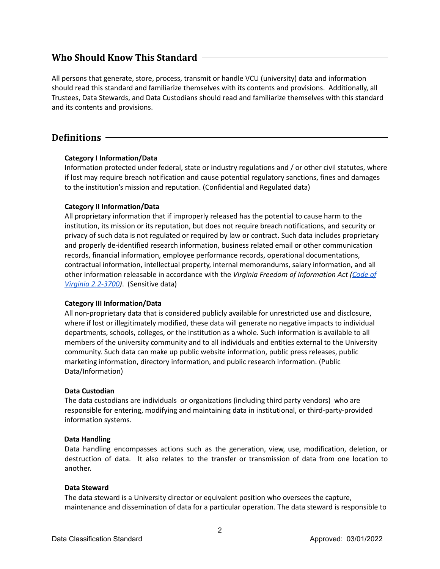# **Who Should Know This Standard**

All persons that generate, store, process, transmit or handle VCU (university) data and information should read this standard and familiarize themselves with its contents and provisions. Additionally, all Trustees, Data Stewards, and Data Custodians should read and familiarize themselves with this standard and its contents and provisions.

# **Definitions**

# **Category I Information/Data**

Information protected under federal, state or industry regulations and / or other civil statutes, where if lost may require breach notification and cause potential regulatory sanctions, fines and damages to the institution's mission and reputation. (Confidential and Regulated data)

# **Category II Information/Data**

All proprietary information that if improperly released has the potential to cause harm to the institution, its mission or its reputation, but does not require breach notifications, and security or privacy of such data is not regulated or required by law or contract. Such data includes proprietary and properly de-identified research information, business related email or other communication records, financial information, employee performance records, operational documentations, contractual information, intellectual property, internal memorandums, salary information, and all other information releasable in accordance with the *Virginia Freedom of Information Act [\(Code](http://leg1.state.va.us/) of Virginia [2.2-3700\)](http://leg1.state.va.us/)*. (Sensitive data)

## **Category III Information/Data**

All non-proprietary data that is considered publicly available for unrestricted use and disclosure, where if lost or illegitimately modified, these data will generate no negative impacts to individual departments, schools, colleges, or the institution as a whole. Such information is available to all members of the university community and to all individuals and entities external to the University community. Such data can make up public website information, public press releases, public marketing information, directory information, and public research information. (Public Data/Information)

## **Data Custodian**

The data custodians are individuals or organizations (including third party vendors) who are responsible for entering, modifying and maintaining data in institutional, or third-party-provided information systems.

## **Data Handling**

Data handling encompasses actions such as the generation, view, use, modification, deletion, or destruction of data. It also relates to the transfer or transmission of data from one location to another.

## **Data Steward**

The data steward is a University director or equivalent position who oversees the capture, maintenance and dissemination of data for a particular operation. The data steward is responsible to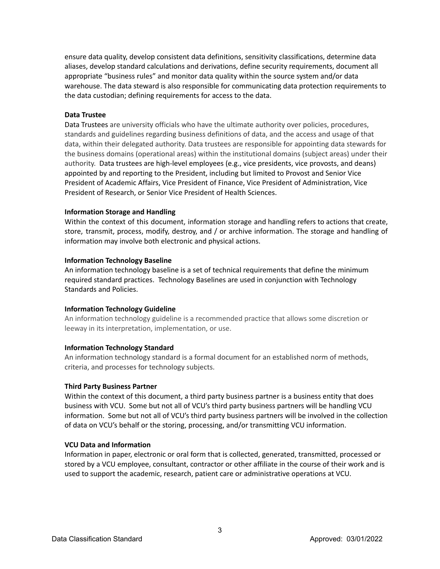ensure data quality, develop consistent data definitions, sensitivity classifications, determine data aliases, develop standard calculations and derivations, define security requirements, document all appropriate "business rules" and monitor data quality within the source system and/or data warehouse. The data steward is also responsible for communicating data protection requirements to the data custodian; defining requirements for access to the data.

## **Data Trustee**

Data Trustees are university officials who have the ultimate authority over policies, procedures, standards and guidelines regarding business definitions of data, and the access and usage of that data, within their delegated authority. Data trustees are responsible for appointing data stewards for the business domains (operational areas) within the institutional domains (subject areas) under their authority. Data trustees are high-level employees (e.g., vice presidents, vice provosts, and deans) appointed by and reporting to the President, including but limited to Provost and Senior Vice President of Academic Affairs, Vice President of Finance, Vice President of Administration, Vice President of Research, or Senior Vice President of Health Sciences.

#### **Information Storage and Handling**

Within the context of this document, information storage and handling refers to actions that create, store, transmit, process, modify, destroy, and / or archive information. The storage and handling of information may involve both electronic and physical actions.

#### **Information Technology Baseline**

An information technology baseline is a set of technical requirements that define the minimum required standard practices. Technology Baselines are used in conjunction with Technology Standards and Policies.

#### **Information Technology Guideline**

An information technology guideline is a recommended practice that allows some discretion or leeway in its interpretation, implementation, or use.

## **Information Technology Standard**

An information technology standard is a formal document for an established norm of methods, criteria, and processes for technology subjects.

#### **Third Party Business Partner**

Within the context of this document, a third party business partner is a business entity that does business with VCU. Some but not all of VCU's third party business partners will be handling VCU information. Some but not all of VCU's third party business partners will be involved in the collection of data on VCU's behalf or the storing, processing, and/or transmitting VCU information.

#### **VCU Data and Information**

Information in paper, electronic or oral form that is collected, generated, transmitted, processed or stored by a VCU employee, consultant, contractor or other affiliate in the course of their work and is used to support the academic, research, patient care or administrative operations at VCU.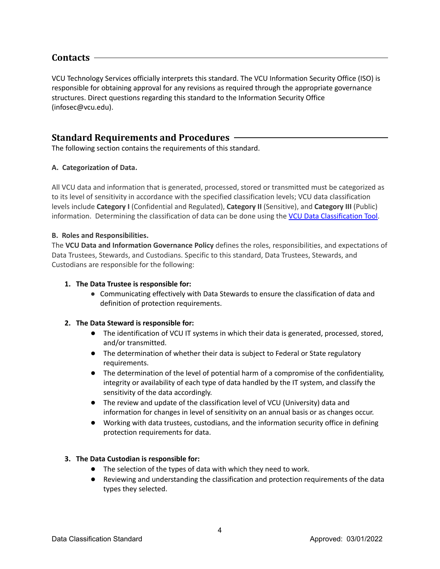# **Contacts**

VCU Technology Services officially interprets this standard. The VCU Information Security Office (ISO) is responsible for obtaining approval for any revisions as required through the appropriate governance structures. Direct questions regarding this standard to the Information Security Office (infosec@vcu.edu).

# **Standard Requirements and Procedures**

The following section contains the requirements of this standard.

# **A. Categorization of Data.**

All VCU data and information that is generated, processed, stored or transmitted must be categorized as to its level of sensitivity in accordance with the specified classification levels; VCU data classification levels include **Category I** (Confidential and Regulated), **Category II** (Sensitive), and **Category III** (Public) information. Determining the classification of data can be done using the **VCU Data [Classification](https://go.vcu.edu/dataclassification) Tool**.

# **B. Roles and Responsibilities.**

The **VCU Data and Information Governance Policy** defines the roles, responsibilities, and expectations of Data Trustees, Stewards, and Custodians. Specific to this standard, Data Trustees, Stewards, and Custodians are responsible for the following:

## **1. The Data Trustee is responsible for:**

**●** Communicating effectively with Data Stewards to ensure the classification of data and definition of protection requirements.

## **2. The Data Steward is responsible for:**

- The identification of VCU IT systems in which their data is generated, processed, stored, and/or transmitted.
- The determination of whether their data is subject to Federal or State regulatory requirements.
- The determination of the level of potential harm of a compromise of the confidentiality, integrity or availability of each type of data handled by the IT system, and classify the sensitivity of the data accordingly.
- The review and update of the classification level of VCU (University) data and information for changes in level of sensitivity on an annual basis or as changes occur.
- Working with data trustees, custodians, and the information security office in defining protection requirements for data.

# **3. The Data Custodian is responsible for:**

- The selection of the types of data with which they need to work.
- Reviewing and understanding the classification and protection requirements of the data types they selected.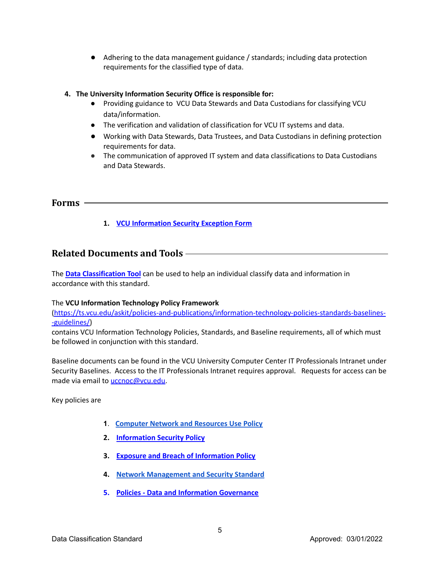● Adhering to the data management guidance / standards; including data protection requirements for the classified type of data.

## **4. The University Information Security Office is responsible for:**

- **●** Providing guidance to VCU Data Stewards and Data Custodians for classifying VCU data/information.
- **●** The verification and validation of classification for VCU IT systems and data.
- Working with Data Stewards, Data Trustees, and Data Custodians in defining protection requirements for data.
- The communication of approved IT system and data classifications to Data Custodians and Data Stewards.

# **Forms**

**1. VCU [Information](https://docs.google.com/a/vcu.edu/forms/d/e/1FAIpQLSccaXau6zkoDG0q5yGxpz62zybiFqB4mp0Y8s6sZ4CG_ROeSw/viewform) Security Exception Form**

# **Related Documents and Tools**

The **Data [Classification](http://go.vcu.edu/dataclassification) Tool** can be used to help an individual classify data and information in accordance with this standard.

## The **VCU Information Technology Policy Framework**

[\(https://ts.vcu.edu/askit/policies-and-publications/information-technology-policies-standards-baselines-](https://ts.vcu.edu/askit/policies-and-publications/information-technology-policies-standards-baselines--guidelines/) [-guidelines/\)](https://ts.vcu.edu/askit/policies-and-publications/information-technology-policies-standards-baselines--guidelines/)

contains VCU Information Technology Policies, Standards, and Baseline requirements, all of which must be followed in conjunction with this standard.

Baseline documents can be found in the VCU University Computer Center IT Professionals Intranet under Security Baselines. Access to the IT Professionals Intranet requires approval. Requests for access can be made via email to [uccnoc@vcu.edu](mailto:uccnoc@vcu.edu).

Key policies are

- **1**. **Computer Network and [Resources](https://policy.vcu.edu/universitywide-policies/policies/computer-and-network-resources-use.html) Use Policy**
- **2. [Information](http://policy.vcu.edu/sites/default/files/Information%20Security.pdf) Security Policy**
- **3. Exposure and Breach of [Information](http://policy.vcu.edu/sites/default/files/Exposure%20and%20Breach%20of%20Information.pdf) Policy**
- **4. Network [Management](https://ts.vcu.edu/media/technology-services/assets/content-assets/university-resources/ts-groups/information-security/NetworkManagementandSecurityStandard.pdf) and Security Standard**
- **5. Policies - Data and Information [Governance](https://policy.vcu.edu/universitywide-policies/policies/data-and-information-governance.html)**